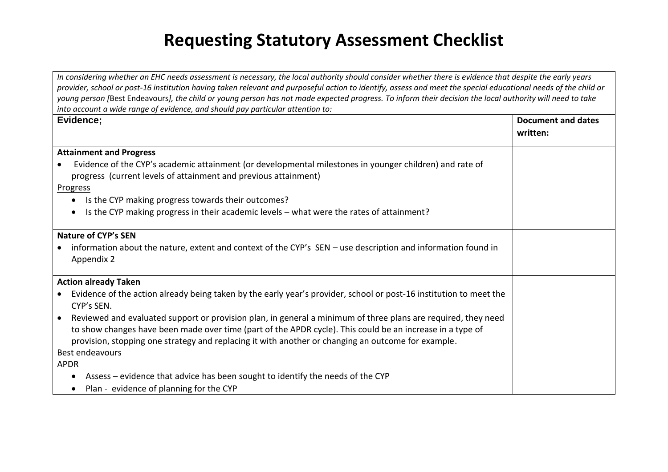## **Requesting Statutory Assessment Checklist**

*In considering whether an EHC needs assessment is necessary, the local authority should consider whether there is evidence that despite the early years provider, school or post-16 institution having taken relevant and purposeful action to identify, assess and meet the special educational needs of the child or young person [*Best Endeavours*], the child or young person has not made expected progress. To inform their decision the local authority will need to take into account a wide range of evidence, and should pay particular attention to:*

| Evidence;                                                                                                                                                                  | Document and dates |
|----------------------------------------------------------------------------------------------------------------------------------------------------------------------------|--------------------|
|                                                                                                                                                                            | written:           |
| <b>Attainment and Progress</b>                                                                                                                                             |                    |
| Evidence of the CYP's academic attainment (or developmental milestones in younger children) and rate of<br>progress (current levels of attainment and previous attainment) |                    |
| <b>Progress</b>                                                                                                                                                            |                    |
| Is the CYP making progress towards their outcomes?<br>$\bullet$                                                                                                            |                    |
| Is the CYP making progress in their academic levels - what were the rates of attainment?                                                                                   |                    |
| <b>Nature of CYP's SEN</b>                                                                                                                                                 |                    |
| information about the nature, extent and context of the CYP's SEN - use description and information found in                                                               |                    |
| Appendix 2                                                                                                                                                                 |                    |
| <b>Action already Taken</b>                                                                                                                                                |                    |
| • Evidence of the action already being taken by the early year's provider, school or post-16 institution to meet the<br>CYP's SEN.                                         |                    |
| Reviewed and evaluated support or provision plan, in general a minimum of three plans are required, they need<br>$\bullet$                                                 |                    |
| to show changes have been made over time (part of the APDR cycle). This could be an increase in a type of                                                                  |                    |
| provision, stopping one strategy and replacing it with another or changing an outcome for example.                                                                         |                    |
| Best endeavours                                                                                                                                                            |                    |
| <b>APDR</b>                                                                                                                                                                |                    |
| Assess - evidence that advice has been sought to identify the needs of the CYP                                                                                             |                    |
| Plan - evidence of planning for the CYP                                                                                                                                    |                    |